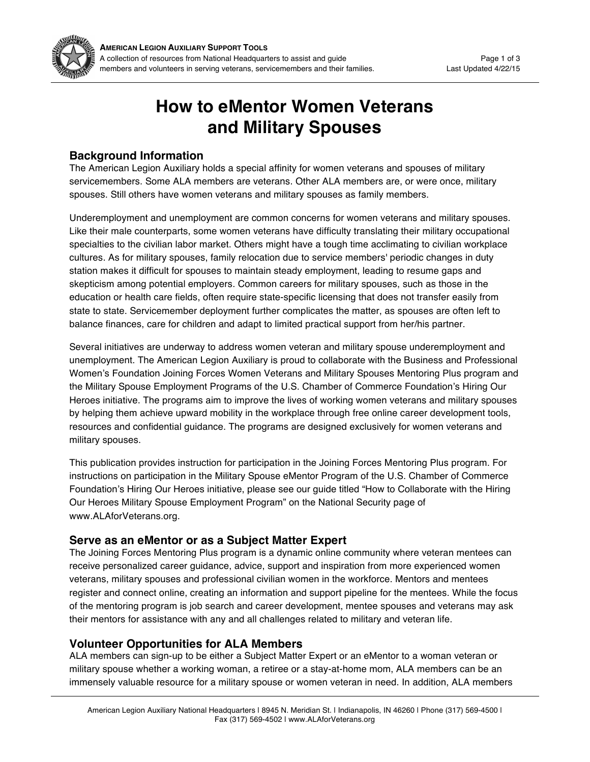

# **How to eMentor Women Veterans and Military Spouses**

## **Background Information**

The American Legion Auxiliary holds a special affinity for women veterans and spouses of military servicemembers. Some ALA members are veterans. Other ALA members are, or were once, military spouses. Still others have women veterans and military spouses as family members.

Underemployment and unemployment are common concerns for women veterans and military spouses. Like their male counterparts, some women veterans have difficulty translating their military occupational specialties to the civilian labor market. Others might have a tough time acclimating to civilian workplace cultures. As for military spouses, family relocation due to service members' periodic changes in duty station makes it difficult for spouses to maintain steady employment, leading to resume gaps and skepticism among potential employers. Common careers for military spouses, such as those in the education or health care fields, often require state-specific licensing that does not transfer easily from state to state. Servicemember deployment further complicates the matter, as spouses are often left to balance finances, care for children and adapt to limited practical support from her/his partner.

Several initiatives are underway to address women veteran and military spouse underemployment and unemployment. The American Legion Auxiliary is proud to collaborate with the Business and Professional Women's Foundation Joining Forces Women Veterans and Military Spouses Mentoring Plus program and the Military Spouse Employment Programs of the U.S. Chamber of Commerce Foundation's Hiring Our Heroes initiative. The programs aim to improve the lives of working women veterans and military spouses by helping them achieve upward mobility in the workplace through free online career development tools, resources and confidential guidance. The programs are designed exclusively for women veterans and military spouses.

This publication provides instruction for participation in the Joining Forces Mentoring Plus program. For instructions on participation in the Military Spouse eMentor Program of the U.S. Chamber of Commerce Foundation's Hiring Our Heroes initiative, please see our guide titled "How to Collaborate with the Hiring Our Heroes Military Spouse Employment Program" on the National Security page of www.ALAforVeterans.org.

## **Serve as an eMentor or as a Subject Matter Expert**

The Joining Forces Mentoring Plus program is a dynamic online community where veteran mentees can receive personalized career guidance, advice, support and inspiration from more experienced women veterans, military spouses and professional civilian women in the workforce. Mentors and mentees register and connect online, creating an information and support pipeline for the mentees. While the focus of the mentoring program is job search and career development, mentee spouses and veterans may ask their mentors for assistance with any and all challenges related to military and veteran life.

# **Volunteer Opportunities for ALA Members**

ALA members can sign-up to be either a Subject Matter Expert or an eMentor to a woman veteran or military spouse whether a working woman, a retiree or a stay-at-home mom, ALA members can be an immensely valuable resource for a military spouse or women veteran in need. In addition, ALA members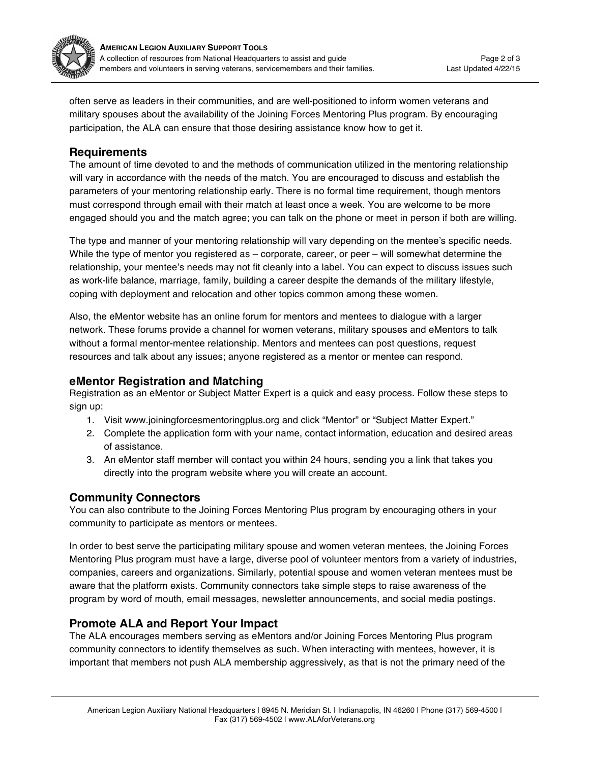

often serve as leaders in their communities, and are well-positioned to inform women veterans and military spouses about the availability of the Joining Forces Mentoring Plus program. By encouraging participation, the ALA can ensure that those desiring assistance know how to get it.

## **Requirements**

The amount of time devoted to and the methods of communication utilized in the mentoring relationship will vary in accordance with the needs of the match. You are encouraged to discuss and establish the parameters of your mentoring relationship early. There is no formal time requirement, though mentors must correspond through email with their match at least once a week. You are welcome to be more engaged should you and the match agree; you can talk on the phone or meet in person if both are willing.

The type and manner of your mentoring relationship will vary depending on the mentee's specific needs. While the type of mentor you registered as – corporate, career, or peer – will somewhat determine the relationship, your mentee's needs may not fit cleanly into a label. You can expect to discuss issues such as work-life balance, marriage, family, building a career despite the demands of the military lifestyle, coping with deployment and relocation and other topics common among these women.

Also, the eMentor website has an online forum for mentors and mentees to dialogue with a larger network. These forums provide a channel for women veterans, military spouses and eMentors to talk without a formal mentor-mentee relationship. Mentors and mentees can post questions, request resources and talk about any issues; anyone registered as a mentor or mentee can respond.

## **eMentor Registration and Matching**

Registration as an eMentor or Subject Matter Expert is a quick and easy process. Follow these steps to sign up:

- 1. Visit www.joiningforcesmentoringplus.org and click "Mentor" or "Subject Matter Expert."
- 2. Complete the application form with your name, contact information, education and desired areas of assistance.
- 3. An eMentor staff member will contact you within 24 hours, sending you a link that takes you directly into the program website where you will create an account.

# **Community Connectors**

You can also contribute to the Joining Forces Mentoring Plus program by encouraging others in your community to participate as mentors or mentees.

In order to best serve the participating military spouse and women veteran mentees, the Joining Forces Mentoring Plus program must have a large, diverse pool of volunteer mentors from a variety of industries, companies, careers and organizations. Similarly, potential spouse and women veteran mentees must be aware that the platform exists. Community connectors take simple steps to raise awareness of the program by word of mouth, email messages, newsletter announcements, and social media postings.

## **Promote ALA and Report Your Impact**

The ALA encourages members serving as eMentors and/or Joining Forces Mentoring Plus program community connectors to identify themselves as such. When interacting with mentees, however, it is important that members not push ALA membership aggressively, as that is not the primary need of the